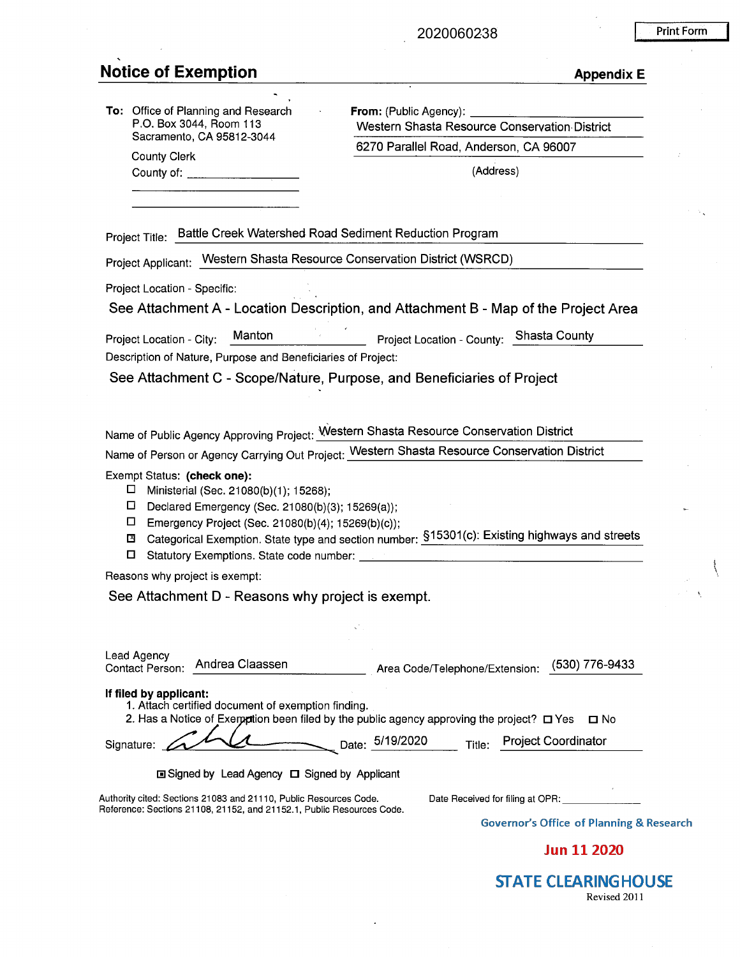#### 2020060238

### **Notice of Exemption**

County Clerk

| Print Form |  |  |
|------------|--|--|
|            |  |  |
|            |  |  |

| <b>Appendix E</b> |  |  |  |
|-------------------|--|--|--|
|                   |  |  |  |

| To: Office of Planning and Research |
|-------------------------------------|
| P.O. Box 3044, Room 113             |
| Sacramento, CA 95812-3044           |

**From:** (Public Agency): Western Shasta Resource Conservation- District 6270 Parallel Road, Anderson, CA 96007

County of: -----~-- (Address)

Project Title: Battle Creek Watershed Road Sediment Reduction Program

Project Applicant: Western Shasta Resource Conservation District (WSRCD)

Project Location - Specific:

See Attachment A - Location Description, and Attachment B - Map of the Project Area

Project Location - City: Manton Manton Project Location - County: Shasta County Description of Nature, Purpose and Beneficiaries of Project:

See Attachment C - Scope/Nature, Purpose, and Beneficiaries of Project

Name of Public Agency Approving Project: Western Shasta Resource Conservation District

Name of Person or Agency carrying out Project: Western Shasta Resource Conservation District

#### Exempt Status: **(check one):**

- $\square$  Ministerial (Sec. 21080(b)(1); 15268);
- D Declared Emergency (Sec. 21080(b)(3); 15269(a));
- D Emergency Project (Sec. 21080(b)(4); 15269(b)(c));
- ~ Categorical Exemption. State type and section number: §15301(c): Existing highways and streets □ Statutory Exemptions. State code number: \_\_\_\_\_\_\_\_\_\_\_\_\_\_\_\_\_\_\_ \_
- 

Reasons why project is exempt:

See Attachment D - Reasons why project is exempt.

| Lead Agency<br>Andrea Claassen<br><b>Contact Person:</b>                                                                                                                                     | (530) 776-9433<br>Area Code/Telephone/Extension:                                        |
|----------------------------------------------------------------------------------------------------------------------------------------------------------------------------------------------|-----------------------------------------------------------------------------------------|
| If filed by applicant:<br>1. Attach certified document of exemption finding.<br>2. Has a Notice of Exemption been filed by the public agency approving the project? $\Box$ Yes<br>Signature: | $\square$ No<br>Date: 5/19/2020<br><b>Project Coordinator</b><br>Title:                 |
| <b>□ Signed by Lead Agency □ Signed by Applicant</b>                                                                                                                                         |                                                                                         |
| Authority cited: Sections 21083 and 21110, Public Resources Code.<br>Reference: Sections 21108, 21152, and 21152.1, Public Resources Code,                                                   | Date Received for filing at OPR:<br><b>Governor's Office of Planning &amp; Research</b> |
|                                                                                                                                                                                              | 1 11 JANU                                                                               |

Jun 11 2020

**STATE CLEARINGHOUSE** Revised 2011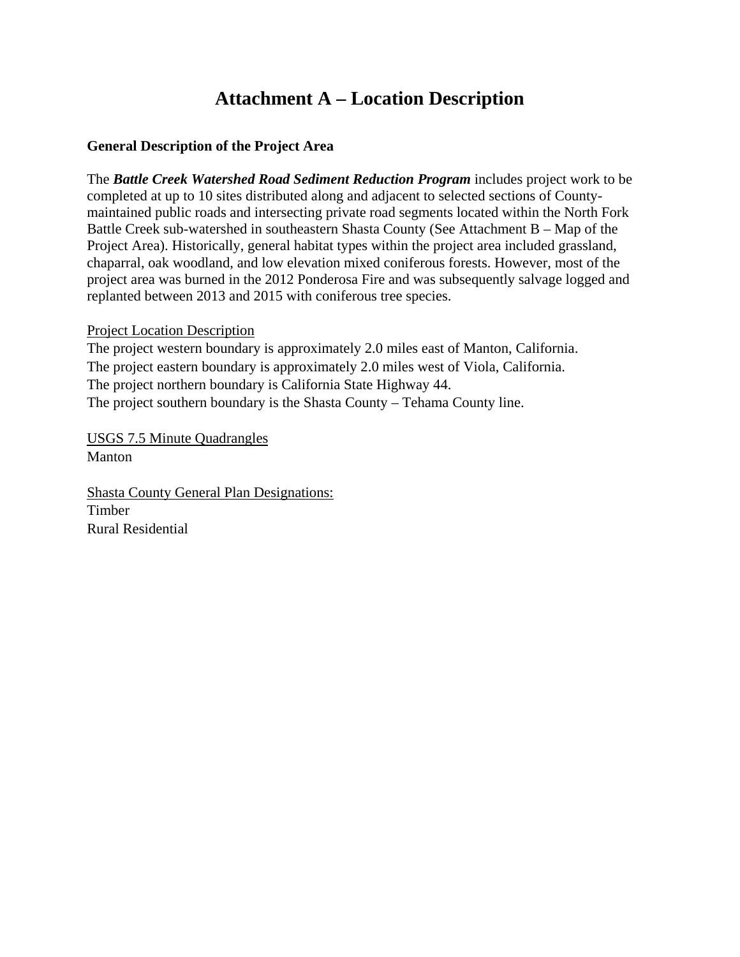# **Attachment A – Location Description**

### **General Description of the Project Area**

The *Battle Creek Watershed Road Sediment Reduction Program* includes project work to be completed at up to 10 sites distributed along and adjacent to selected sections of Countymaintained public roads and intersecting private road segments located within the North Fork Battle Creek sub-watershed in southeastern Shasta County (See Attachment B – Map of the Project Area). Historically, general habitat types within the project area included grassland, chaparral, oak woodland, and low elevation mixed coniferous forests. However, most of the project area was burned in the 2012 Ponderosa Fire and was subsequently salvage logged and replanted between 2013 and 2015 with coniferous tree species.

### Project Location Description

The project western boundary is approximately 2.0 miles east of Manton, California. The project eastern boundary is approximately 2.0 miles west of Viola, California. The project northern boundary is California State Highway 44. The project southern boundary is the Shasta County – Tehama County line.

USGS 7.5 Minute Quadrangles Manton

Shasta County General Plan Designations: Timber Rural Residential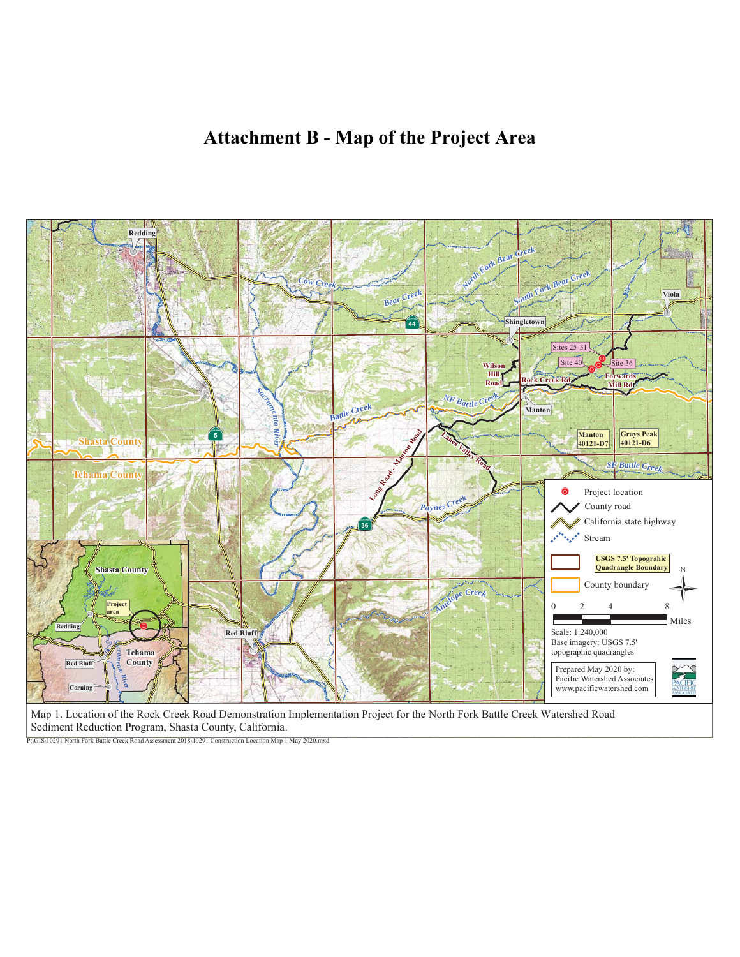# **Attachment B - Map of the Project Area**



Sediment Reduction Program, Shasta County, California.

P:\GIS\10291 North Fork Battle Creek Road Assessment 2018\10291 Construction Location Map 1 May 2020.mxd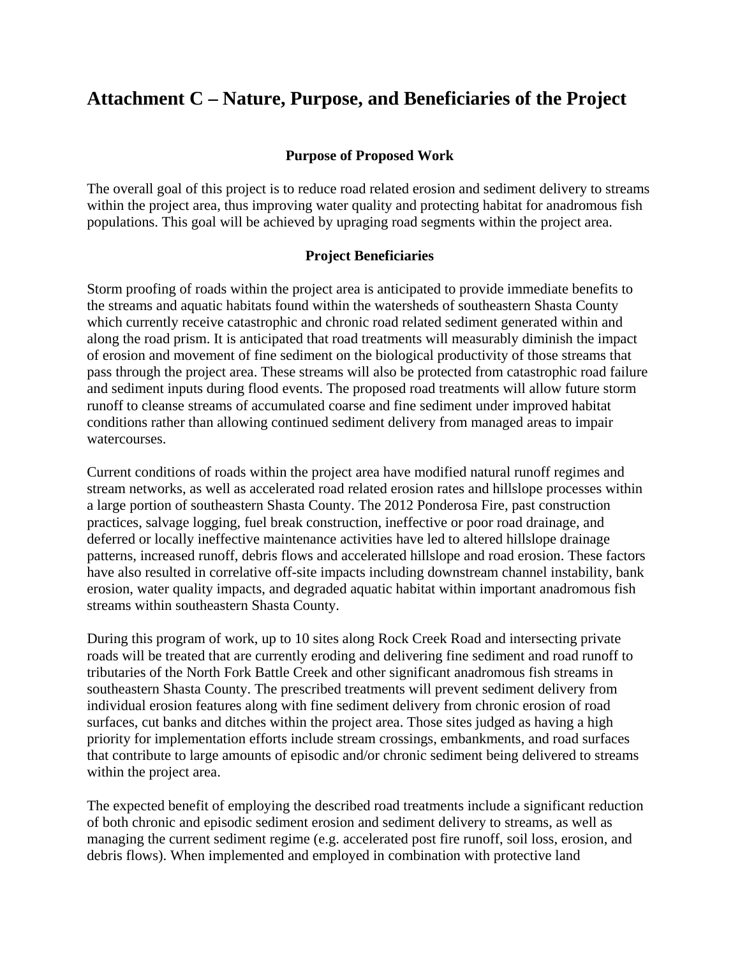# **Attachment C – Nature, Purpose, and Beneficiaries of the Project**

### **Purpose of Proposed Work**

The overall goal of this project is to reduce road related erosion and sediment delivery to streams within the project area, thus improving water quality and protecting habitat for anadromous fish populations. This goal will be achieved by upraging road segments within the project area.

#### **Project Beneficiaries**

Storm proofing of roads within the project area is anticipated to provide immediate benefits to the streams and aquatic habitats found within the watersheds of southeastern Shasta County which currently receive catastrophic and chronic road related sediment generated within and along the road prism. It is anticipated that road treatments will measurably diminish the impact of erosion and movement of fine sediment on the biological productivity of those streams that pass through the project area. These streams will also be protected from catastrophic road failure and sediment inputs during flood events. The proposed road treatments will allow future storm runoff to cleanse streams of accumulated coarse and fine sediment under improved habitat conditions rather than allowing continued sediment delivery from managed areas to impair watercourses.

Current conditions of roads within the project area have modified natural runoff regimes and stream networks, as well as accelerated road related erosion rates and hillslope processes within a large portion of southeastern Shasta County. The 2012 Ponderosa Fire, past construction practices, salvage logging, fuel break construction, ineffective or poor road drainage, and deferred or locally ineffective maintenance activities have led to altered hillslope drainage patterns, increased runoff, debris flows and accelerated hillslope and road erosion. These factors have also resulted in correlative off-site impacts including downstream channel instability, bank erosion, water quality impacts, and degraded aquatic habitat within important anadromous fish streams within southeastern Shasta County.

During this program of work, up to 10 sites along Rock Creek Road and intersecting private roads will be treated that are currently eroding and delivering fine sediment and road runoff to tributaries of the North Fork Battle Creek and other significant anadromous fish streams in southeastern Shasta County. The prescribed treatments will prevent sediment delivery from individual erosion features along with fine sediment delivery from chronic erosion of road surfaces, cut banks and ditches within the project area. Those sites judged as having a high priority for implementation efforts include stream crossings, embankments, and road surfaces that contribute to large amounts of episodic and/or chronic sediment being delivered to streams within the project area.

The expected benefit of employing the described road treatments include a significant reduction of both chronic and episodic sediment erosion and sediment delivery to streams, as well as managing the current sediment regime (e.g. accelerated post fire runoff, soil loss, erosion, and debris flows). When implemented and employed in combination with protective land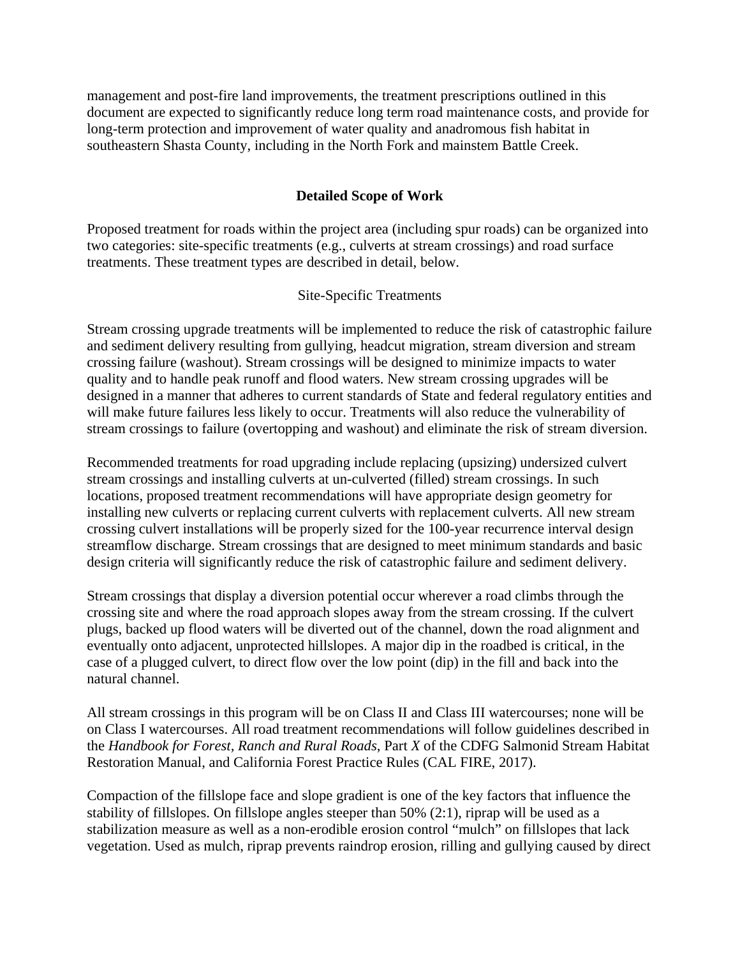management and post-fire land improvements, the treatment prescriptions outlined in this document are expected to significantly reduce long term road maintenance costs, and provide for long-term protection and improvement of water quality and anadromous fish habitat in southeastern Shasta County, including in the North Fork and mainstem Battle Creek.

### **Detailed Scope of Work**

Proposed treatment for roads within the project area (including spur roads) can be organized into two categories: site-specific treatments (e.g., culverts at stream crossings) and road surface treatments. These treatment types are described in detail, below.

### Site-Specific Treatments

Stream crossing upgrade treatments will be implemented to reduce the risk of catastrophic failure and sediment delivery resulting from gullying, headcut migration, stream diversion and stream crossing failure (washout). Stream crossings will be designed to minimize impacts to water quality and to handle peak runoff and flood waters. New stream crossing upgrades will be designed in a manner that adheres to current standards of State and federal regulatory entities and will make future failures less likely to occur. Treatments will also reduce the vulnerability of stream crossings to failure (overtopping and washout) and eliminate the risk of stream diversion.

Recommended treatments for road upgrading include replacing (upsizing) undersized culvert stream crossings and installing culverts at un-culverted (filled) stream crossings. In such locations, proposed treatment recommendations will have appropriate design geometry for installing new culverts or replacing current culverts with replacement culverts. All new stream crossing culvert installations will be properly sized for the 100-year recurrence interval design streamflow discharge. Stream crossings that are designed to meet minimum standards and basic design criteria will significantly reduce the risk of catastrophic failure and sediment delivery.

Stream crossings that display a diversion potential occur wherever a road climbs through the crossing site and where the road approach slopes away from the stream crossing. If the culvert plugs, backed up flood waters will be diverted out of the channel, down the road alignment and eventually onto adjacent, unprotected hillslopes. A major dip in the roadbed is critical, in the case of a plugged culvert, to direct flow over the low point (dip) in the fill and back into the natural channel.

All stream crossings in this program will be on Class II and Class III watercourses; none will be on Class I watercourses. All road treatment recommendations will follow guidelines described in the *Handbook for Forest, Ranch and Rural Roads*, Part *X* of the CDFG Salmonid Stream Habitat Restoration Manual, and California Forest Practice Rules (CAL FIRE, 2017).

Compaction of the fillslope face and slope gradient is one of the key factors that influence the stability of fillslopes. On fillslope angles steeper than 50% (2:1), riprap will be used as a stabilization measure as well as a non-erodible erosion control "mulch" on fillslopes that lack vegetation. Used as mulch, riprap prevents raindrop erosion, rilling and gullying caused by direct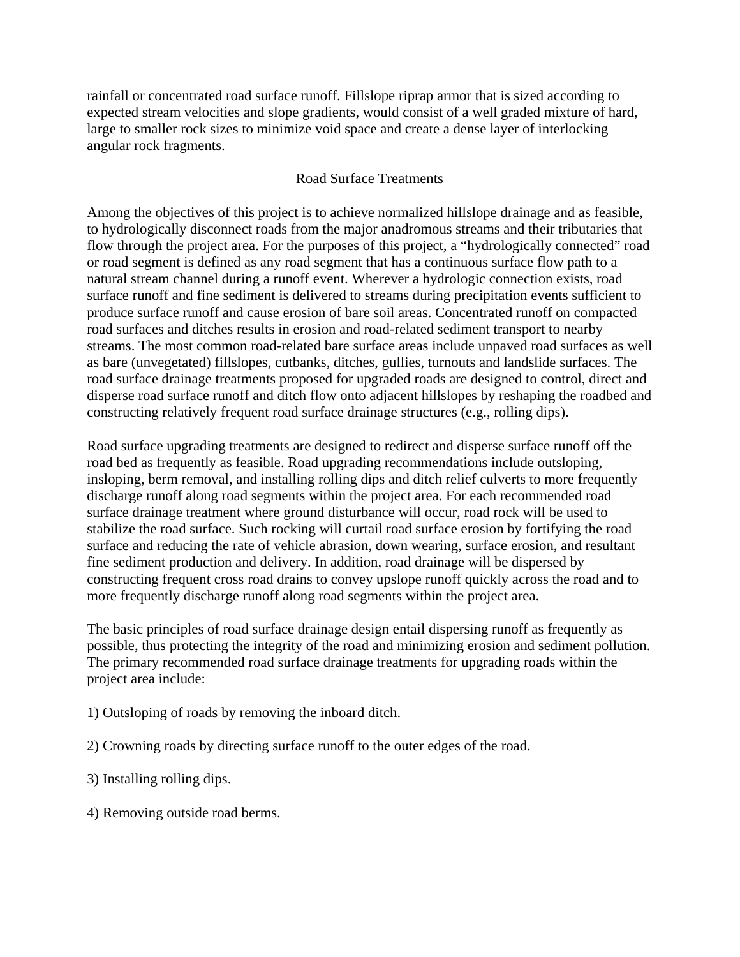rainfall or concentrated road surface runoff. Fillslope riprap armor that is sized according to expected stream velocities and slope gradients, would consist of a well graded mixture of hard, large to smaller rock sizes to minimize void space and create a dense layer of interlocking angular rock fragments.

### Road Surface Treatments

Among the objectives of this project is to achieve normalized hillslope drainage and as feasible, to hydrologically disconnect roads from the major anadromous streams and their tributaries that flow through the project area. For the purposes of this project, a "hydrologically connected" road or road segment is defined as any road segment that has a continuous surface flow path to a natural stream channel during a runoff event. Wherever a hydrologic connection exists, road surface runoff and fine sediment is delivered to streams during precipitation events sufficient to produce surface runoff and cause erosion of bare soil areas. Concentrated runoff on compacted road surfaces and ditches results in erosion and road-related sediment transport to nearby streams. The most common road-related bare surface areas include unpaved road surfaces as well as bare (unvegetated) fillslopes, cutbanks, ditches, gullies, turnouts and landslide surfaces. The road surface drainage treatments proposed for upgraded roads are designed to control, direct and disperse road surface runoff and ditch flow onto adjacent hillslopes by reshaping the roadbed and constructing relatively frequent road surface drainage structures (e.g., rolling dips).

Road surface upgrading treatments are designed to redirect and disperse surface runoff off the road bed as frequently as feasible. Road upgrading recommendations include outsloping, insloping, berm removal, and installing rolling dips and ditch relief culverts to more frequently discharge runoff along road segments within the project area. For each recommended road surface drainage treatment where ground disturbance will occur, road rock will be used to stabilize the road surface. Such rocking will curtail road surface erosion by fortifying the road surface and reducing the rate of vehicle abrasion, down wearing, surface erosion, and resultant fine sediment production and delivery. In addition, road drainage will be dispersed by constructing frequent cross road drains to convey upslope runoff quickly across the road and to more frequently discharge runoff along road segments within the project area.

The basic principles of road surface drainage design entail dispersing runoff as frequently as possible, thus protecting the integrity of the road and minimizing erosion and sediment pollution. The primary recommended road surface drainage treatments for upgrading roads within the project area include:

- 1) Outsloping of roads by removing the inboard ditch.
- 2) Crowning roads by directing surface runoff to the outer edges of the road.
- 3) Installing rolling dips.
- 4) Removing outside road berms.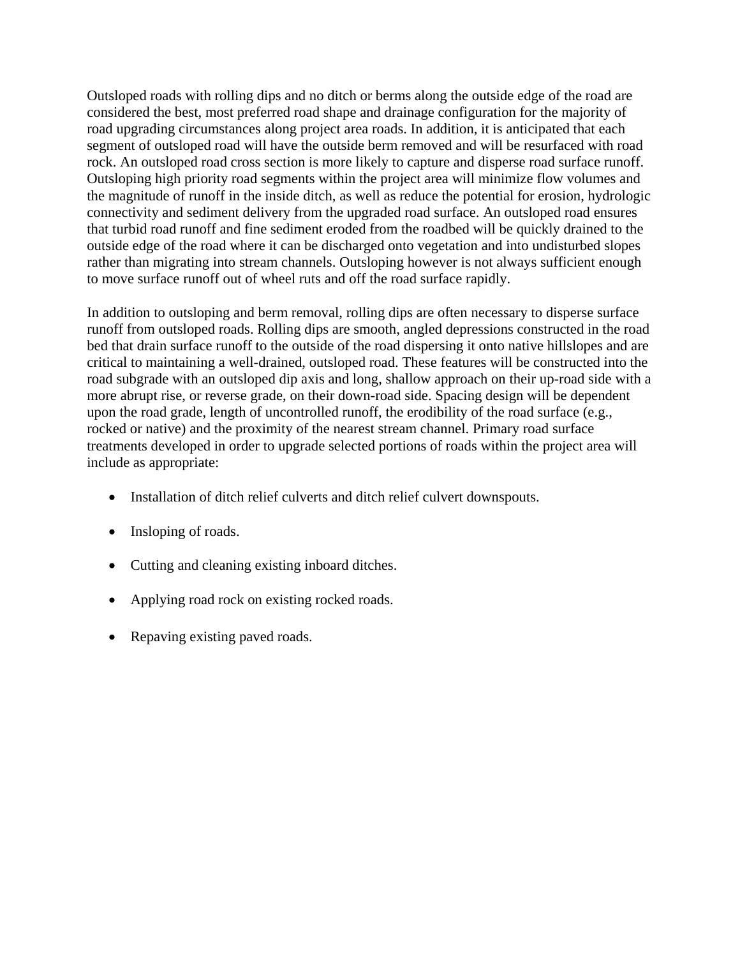Outsloped roads with rolling dips and no ditch or berms along the outside edge of the road are considered the best, most preferred road shape and drainage configuration for the majority of road upgrading circumstances along project area roads. In addition, it is anticipated that each segment of outsloped road will have the outside berm removed and will be resurfaced with road rock. An outsloped road cross section is more likely to capture and disperse road surface runoff. Outsloping high priority road segments within the project area will minimize flow volumes and the magnitude of runoff in the inside ditch, as well as reduce the potential for erosion, hydrologic connectivity and sediment delivery from the upgraded road surface. An outsloped road ensures that turbid road runoff and fine sediment eroded from the roadbed will be quickly drained to the outside edge of the road where it can be discharged onto vegetation and into undisturbed slopes rather than migrating into stream channels. Outsloping however is not always sufficient enough to move surface runoff out of wheel ruts and off the road surface rapidly.

In addition to outsloping and berm removal, rolling dips are often necessary to disperse surface runoff from outsloped roads. Rolling dips are smooth, angled depressions constructed in the road bed that drain surface runoff to the outside of the road dispersing it onto native hillslopes and are critical to maintaining a well-drained, outsloped road. These features will be constructed into the road subgrade with an outsloped dip axis and long, shallow approach on their up-road side with a more abrupt rise, or reverse grade, on their down-road side. Spacing design will be dependent upon the road grade, length of uncontrolled runoff, the erodibility of the road surface (e.g., rocked or native) and the proximity of the nearest stream channel. Primary road surface treatments developed in order to upgrade selected portions of roads within the project area will include as appropriate:

- Installation of ditch relief culverts and ditch relief culvert downspouts.
- Insloping of roads.
- Cutting and cleaning existing inboard ditches.
- Applying road rock on existing rocked roads.
- Repaving existing paved roads.